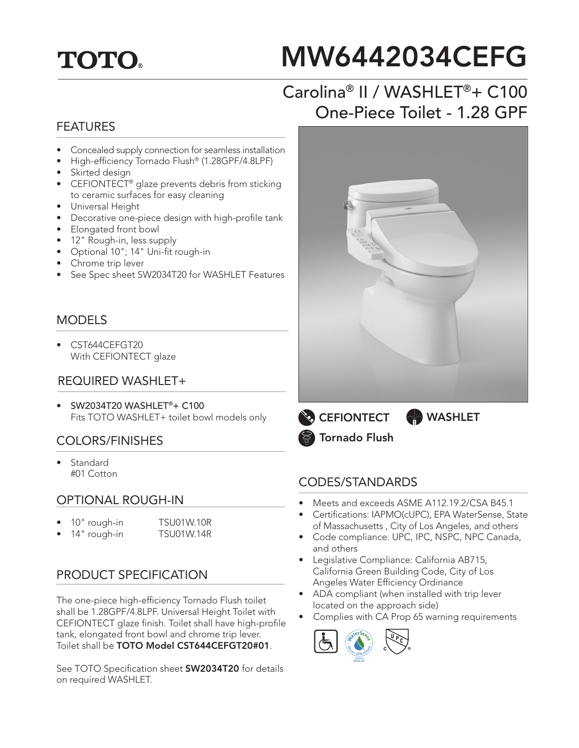## **TOTO.**

# MW6442034CEFG

## Carolina® II / WASHLET®+ C100 One-Piece Toilet - 1.28 GPF

#### FEATURES

- Concealed supply connection for seamless installation
- High-efficiency Tornado Flush® (1.28GPF/4.8LPF)
- Skirted design
- CEFIONTECT<sup>®</sup> glaze prevents debris from sticking to ceramic surfaces for easy cleaning
- Universal Height
- Decorative one-piece design with high-profile tank
- Elongated front bowl
- 12" Rough-in, less supply
- Optional 10"; 14" Uni-fit rough-in
- Chrome trip lever
- See Spec sheet SW2034T20 for WASHLET Features

#### MODELS

• CST644CEFGT20 With CEFIONTECT glaze

#### REQUIRED WASHLET+

• SW2034T20 WASHLET®+ C100 Fits TOTO WASHLET+ toilet bowl models only

#### COLORS/FINISHES

• Standard #01 Cotton

#### OPTIONAL ROUGH-IN

- 10" rough-in TSU01W.10R
	- 14" rough-in TSU01W.14R

#### PRODUCT SPECIFICATION

The one-piece high-efficiency Tornado Flush toilet shall be 1.28GPF/4.8LPF. Universal Height Toilet with CEFIONTECT glaze finish. Toilet shall have high-profile tank, elongated front bowl and chrome trip lever. Toilet shall be TOTO Model CST644CEFGT20#01.

See TOTO Specification sheet **SW2034T20** for details on required WASHLET.



**CEFIONTECT** Tornado Flush **WASHLET** 

#### CODES/STANDARDS

- Meets and exceeds ASME A112.19.2/CSA B45.1
- Certifications: IAPMO(cUPC), EPA WaterSense, State of Massachusetts , City of Los Angeles, and others
- Code compliance: UPC, IPC, NSPC, NPC Canada, and others
- Legislative Compliance: California AB715, California Green Building Code, City of Los Angeles Water Efficiency Ordinance
- ADA compliant (when installed with trip lever located on the approach side)
- Complies with CA Prop 65 warning requirements